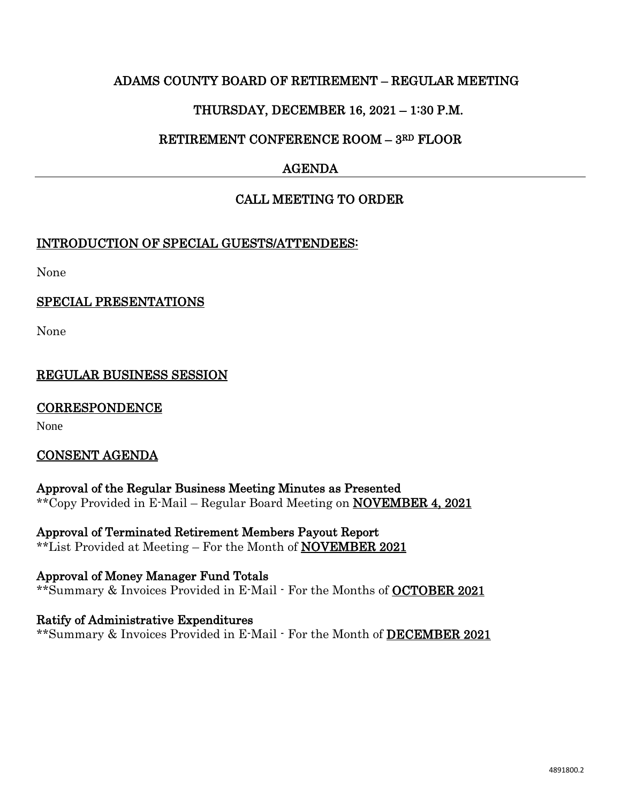# ADAMS COUNTY BOARD OF RETIREMENT – REGULAR MEETING

# THURSDAY, DECEMBER 16, 2021 – 1:30 P.M.

# RETIREMENT CONFERENCE ROOM – 3RD FLOOR

# AGENDA

# CALL MEETING TO ORDER

#### INTRODUCTION OF SPECIAL GUESTS/ATTENDEES:

None

### SPECIAL PRESENTATIONS

None

# REGULAR BUSINESS SESSION

#### **CORRESPONDENCE**

None

#### CONSENT AGENDA

Approval of the Regular Business Meeting Minutes as Presented \*\*Copy Provided in E-Mail – Regular Board Meeting on NOVEMBER 4, 2021

Approval of Terminated Retirement Members Payout Report \*\*List Provided at Meeting – For the Month of NOVEMBER 2021

Approval of Money Manager Fund Totals \*\*Summary & Invoices Provided in E-Mail - For the Months of **OCTOBER 2021** 

Ratify of Administrative Expenditures \*\*Summary & Invoices Provided in E-Mail - For the Month of DECEMBER 2021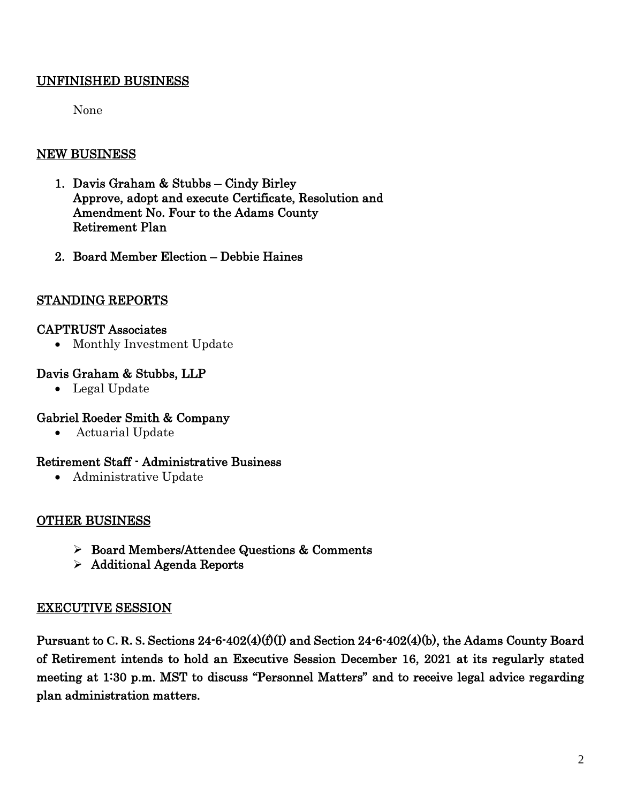# UNFINISHED BUSINESS

None

# NEW BUSINESS

- 1. Davis Graham & Stubbs Cindy Birley Approve, adopt and execute Certificate, Resolution and Amendment No. Four to the Adams County Retirement Plan
- 2. Board Member Election Debbie Haines

# STANDING REPORTS

### CAPTRUST Associates

• Monthly Investment Update

# Davis Graham & Stubbs, LLP

• Legal Update

# Gabriel Roeder Smith & Company

• Actuarial Update

#### Retirement Staff - Administrative Business

• Administrative Update

# OTHER BUSINESS

- Board Members/Attendee Questions & Comments
- Additional Agenda Reports

# EXECUTIVE SESSION

Pursuant to **C. R. S.** Sections 24-6-402(4)(f)(I) and Section 24-6-402(4)(b), the Adams County Board of Retirement intends to hold an Executive Session December 16, 2021 at its regularly stated meeting at 1:30 p.m. MST to discuss "Personnel Matters" and to receive legal advice regarding plan administration matters.